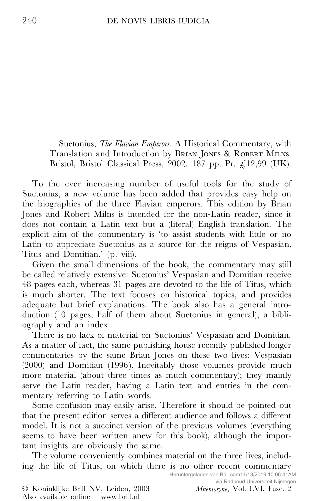Suetonius, *The Flavian Emperors*. A Historical Commentary, with Translation and Introduction by BRIAN JONES & ROBERT MILNS. Bristol, Bristol Classical Press, 2002. 187 pp. Pr. £12,99 (UK).

To the ever increasing number of useful tools for the study of Suetonius, a new volume has been added that provides easy help on the biographies of the three Flavian emperors. This edition by Brian Jones and Robert Milns is intended for the non-Latin reader, since it does not contain a Latin text but a (literal) English translation. The explicit aim of the commentary is 'to assist students with little or no Latin to appreciate Suetonius as a source for the reigns of Vespasian, Titus and Domitian.' (p. viii).

Given the small dimensions of the book, the commentary may still be called relatively extensive: Suetonius' Vespasian and Domitian receive 48 pages each, whereas 31 pages are devoted to the life of Titus, which is much shorter. The text focuses on historical topics, and provides adequate but brief explanations. The book also has a general introduction (10 pages, half of them about Suetonius in general), a bibliography and an index.

There is no lack of material on Suetonius' Vespasian and Domitian. As a matter of fact, the same publishing house recently published longer commentaries by the same Brian Jones on these two lives: Vespasian (2000) and Domitian (1996). Inevitably those volumes provide much more material (about three times as much commentary); they mainly serve the Latin reader, having a Latin text and entries in the com mentary referring to Latin words.

Some confusion may easily arise. Therefore it should be pointed out that the present edition serves a different audience and follows a different model. It is not a succinct version of the previous volumes (everything seems to have been written anew for this book), although the important insights are obviously the same.

The volume conveniently combines material on the three lives, including the life of Titus, on which there is no other recent commentary